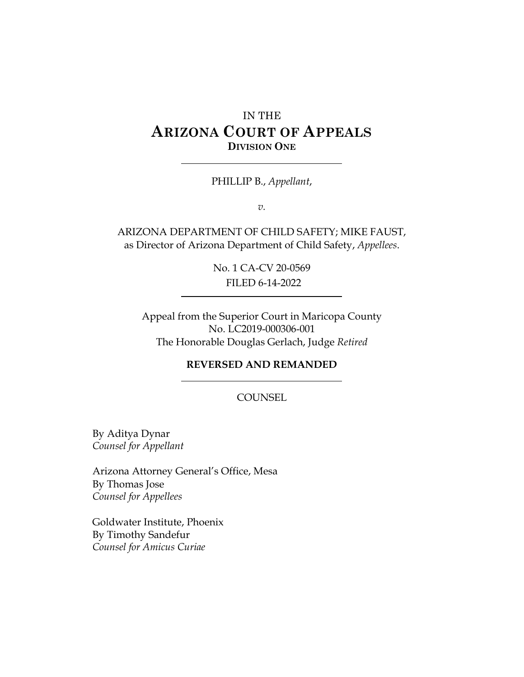# IN THE **ARIZONA COURT OF APPEALS DIVISION ONE**

PHILLIP B., *Appellant*,

*v.*

ARIZONA DEPARTMENT OF CHILD SAFETY; MIKE FAUST, as Director of Arizona Department of Child Safety, *Appellees*.

> No. 1 CA-CV 20-0569 FILED 6-14-2022

Appeal from the Superior Court in Maricopa County No. LC2019-000306-001 The Honorable Douglas Gerlach, Judge *Retired*

#### **REVERSED AND REMANDED**

#### **COUNSEL**

By Aditya Dynar *Counsel for Appellant* 

Arizona Attorney General's Office, Mesa By Thomas Jose *Counsel for Appellees*

Goldwater Institute, Phoenix By Timothy Sandefur *Counsel for Amicus Curiae*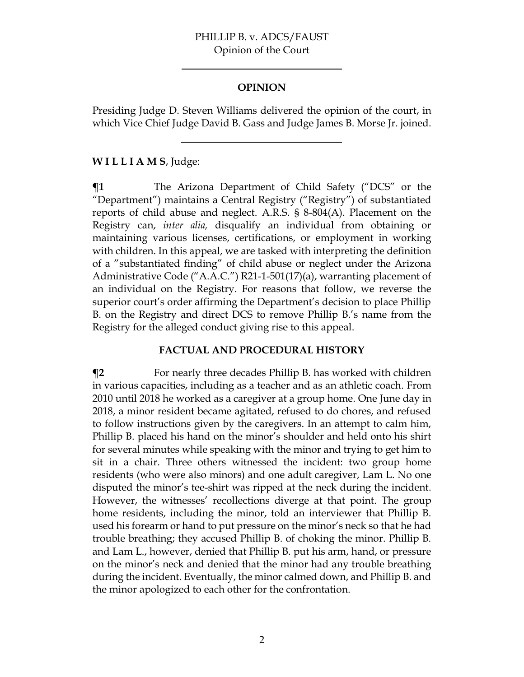#### **OPINION**

Presiding Judge D. Steven Williams delivered the opinion of the court, in which Vice Chief Judge David B. Gass and Judge James B. Morse Jr. joined.

#### **W I L L I A M S**, Judge:

**¶1** The Arizona Department of Child Safety ("DCS" or the "Department") maintains a Central Registry ("Registry") of substantiated reports of child abuse and neglect. A.R.S. § 8-804(A). Placement on the Registry can, *inter alia,* disqualify an individual from obtaining or maintaining various licenses, certifications, or employment in working with children. In this appeal, we are tasked with interpreting the definition of a "substantiated finding" of child abuse or neglect under the Arizona Administrative Code ("A.A.C.") R21-1-501(17)(a), warranting placement of an individual on the Registry. For reasons that follow, we reverse the superior court's order affirming the Department's decision to place Phillip B. on the Registry and direct DCS to remove Phillip B.'s name from the Registry for the alleged conduct giving rise to this appeal.

#### **FACTUAL AND PROCEDURAL HISTORY**

**¶2** For nearly three decades Phillip B. has worked with children in various capacities, including as a teacher and as an athletic coach. From 2010 until 2018 he worked as a caregiver at a group home. One June day in 2018, a minor resident became agitated, refused to do chores, and refused to follow instructions given by the caregivers. In an attempt to calm him, Phillip B. placed his hand on the minor's shoulder and held onto his shirt for several minutes while speaking with the minor and trying to get him to sit in a chair. Three others witnessed the incident: two group home residents (who were also minors) and one adult caregiver, Lam L. No one disputed the minor's tee-shirt was ripped at the neck during the incident. However, the witnesses' recollections diverge at that point. The group home residents, including the minor, told an interviewer that Phillip B. used his forearm or hand to put pressure on the minor's neck so that he had trouble breathing; they accused Phillip B. of choking the minor. Phillip B. and Lam L., however, denied that Phillip B. put his arm, hand, or pressure on the minor's neck and denied that the minor had any trouble breathing during the incident. Eventually, the minor calmed down, and Phillip B. and the minor apologized to each other for the confrontation.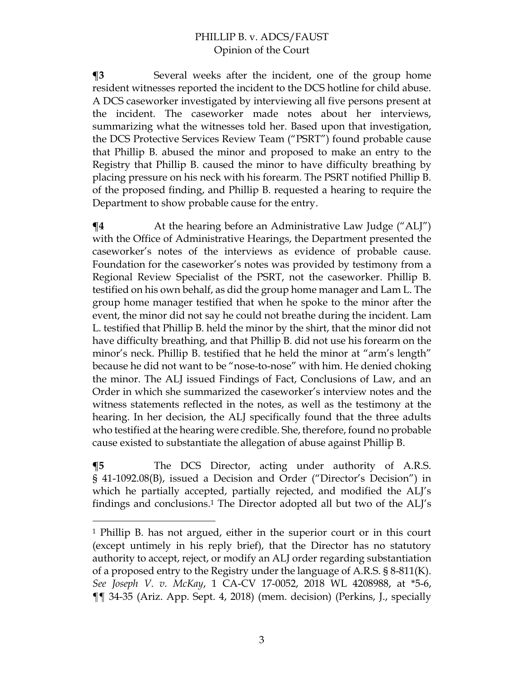**¶3** Several weeks after the incident, one of the group home resident witnesses reported the incident to the DCS hotline for child abuse. A DCS caseworker investigated by interviewing all five persons present at the incident. The caseworker made notes about her interviews, summarizing what the witnesses told her. Based upon that investigation, the DCS Protective Services Review Team ("PSRT") found probable cause that Phillip B. abused the minor and proposed to make an entry to the Registry that Phillip B. caused the minor to have difficulty breathing by placing pressure on his neck with his forearm. The PSRT notified Phillip B. of the proposed finding, and Phillip B. requested a hearing to require the Department to show probable cause for the entry.

 $\P$ **4** At the hearing before an Administrative Law Judge ("ALJ") with the Office of Administrative Hearings, the Department presented the caseworker's notes of the interviews as evidence of probable cause. Foundation for the caseworker's notes was provided by testimony from a Regional Review Specialist of the PSRT, not the caseworker. Phillip B. testified on his own behalf, as did the group home manager and Lam L. The group home manager testified that when he spoke to the minor after the event, the minor did not say he could not breathe during the incident. Lam L. testified that Phillip B. held the minor by the shirt, that the minor did not have difficulty breathing, and that Phillip B. did not use his forearm on the minor's neck. Phillip B. testified that he held the minor at "arm's length" because he did not want to be "nose-to-nose" with him. He denied choking the minor. The ALJ issued Findings of Fact, Conclusions of Law, and an Order in which she summarized the caseworker's interview notes and the witness statements reflected in the notes, as well as the testimony at the hearing. In her decision, the ALJ specifically found that the three adults who testified at the hearing were credible. She, therefore, found no probable cause existed to substantiate the allegation of abuse against Phillip B.

**¶5** The DCS Director, acting under authority of A.R.S. § 41-1092.08(B), issued a Decision and Order ("Director's Decision") in which he partially accepted, partially rejected, and modified the ALJ's findings and conclusions.<sup>1</sup> The Director adopted all but two of the ALJ's

<sup>1</sup> Phillip B. has not argued, either in the superior court or in this court (except untimely in his reply brief), that the Director has no statutory authority to accept, reject, or modify an ALJ order regarding substantiation of a proposed entry to the Registry under the language of A.R.S.  $\S$  8-811(K). *See Joseph V. v. McKay*, 1 CA-CV 17-0052, 2018 WL 4208988, at \*5-6, ¶¶ 34-35 (Ariz. App. Sept. 4, 2018) (mem. decision) (Perkins, J., specially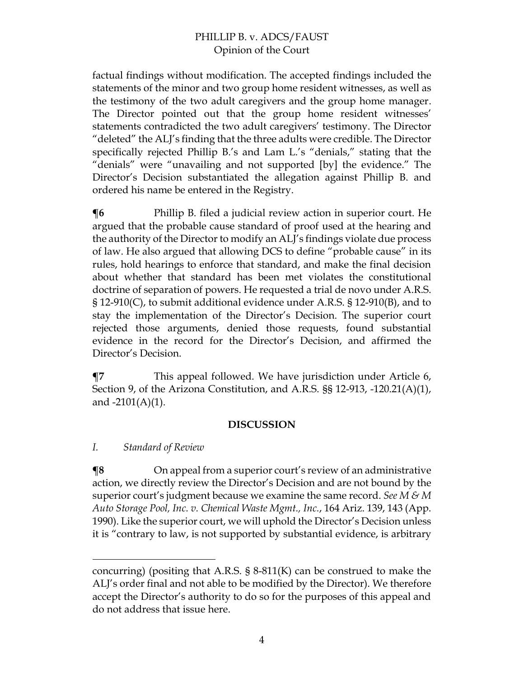factual findings without modification. The accepted findings included the statements of the minor and two group home resident witnesses, as well as the testimony of the two adult caregivers and the group home manager. The Director pointed out that the group home resident witnesses' statements contradicted the two adult caregivers' testimony. The Director "deleted" the ALJ's finding that the three adults were credible. The Director specifically rejected Phillip B.'s and Lam L.'s "denials," stating that the "denials" were "unavailing and not supported [by] the evidence." The Director's Decision substantiated the allegation against Phillip B. and ordered his name be entered in the Registry.

**The Phillip B.** filed a judicial review action in superior court. He argued that the probable cause standard of proof used at the hearing and the authority of the Director to modify an ALJ's findings violate due process of law. He also argued that allowing DCS to define "probable cause" in its rules, hold hearings to enforce that standard, and make the final decision about whether that standard has been met violates the constitutional doctrine of separation of powers. He requested a trial de novo under A.R.S. § 12-910(C), to submit additional evidence under A.R.S. § 12-910(B), and to stay the implementation of the Director's Decision. The superior court rejected those arguments, denied those requests, found substantial evidence in the record for the Director's Decision, and affirmed the Director's Decision.

**This appeal followed. We have jurisdiction under Article 6,**  $\epsilon$ Section 9, of the Arizona Constitution, and A.R.S. §§ 12-913, -120.21(A)(1), and  $-2101(A)(1)$ .

#### **DISCUSSION**

# *I. Standard of Review*

 $\P$ **8** On appeal from a superior court's review of an administrative action, we directly review the Director's Decision and are not bound by the superior court's judgment because we examine the same record. *See M & M Auto Storage Pool, Inc. v. Chemical Waste Mgmt., Inc.*, 164 Ariz. 139, 143 (App. 1990). Like the superior court, we will uphold the Director's Decision unless it is "contrary to law, is not supported by substantial evidence, is arbitrary

concurring) (positing that A.R.S. § 8-811(K) can be construed to make the ALJ's order final and not able to be modified by the Director). We therefore accept the Director's authority to do so for the purposes of this appeal and do not address that issue here.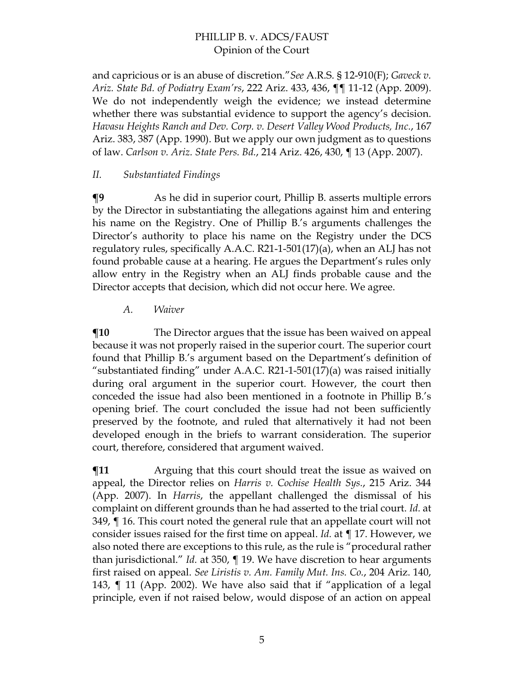and capricious or is an abuse of discretion."*See* A.R.S. § 12-910(F); *Gaveck v. Ariz. State Bd. of Podiatry Exam'rs*, 222 Ariz. 433, 436, ¶¶ 11-12 (App. 2009). We do not independently weigh the evidence; we instead determine whether there was substantial evidence to support the agency's decision. *Havasu Heights Ranch and Dev. Corp. v. Desert Valley Wood Products, Inc.*, 167 Ariz. 383, 387 (App. 1990). But we apply our own judgment as to questions of law. *Carlson v. Ariz. State Pers. Bd.*, 214 Ariz. 426, 430, ¶ 13 (App. 2007).

### *II. Substantiated Findings*

**¶9** As he did in superior court, Phillip B. asserts multiple errors by the Director in substantiating the allegations against him and entering his name on the Registry. One of Phillip B.'s arguments challenges the Director's authority to place his name on the Registry under the DCS regulatory rules, specifically A.A.C. R21-1-501(17)(a), when an ALJ has not found probable cause at a hearing. He argues the Department's rules only allow entry in the Registry when an ALJ finds probable cause and the Director accepts that decision, which did not occur here. We agree.

*A. Waiver* 

 $\P$ **10** The Director argues that the issue has been waived on appeal because it was not properly raised in the superior court. The superior court found that Phillip B.'s argument based on the Department's definition of "substantiated finding" under A.A.C. R21-1-501(17)(a) was raised initially during oral argument in the superior court. However, the court then conceded the issue had also been mentioned in a footnote in Phillip B.'s opening brief. The court concluded the issue had not been sufficiently preserved by the footnote, and ruled that alternatively it had not been developed enough in the briefs to warrant consideration. The superior court, therefore, considered that argument waived.

**The Term** Arguing that this court should treat the issue as waived on appeal, the Director relies on *Harris v. Cochise Health Sys.*, 215 Ariz. 344 (App. 2007). In *Harris*, the appellant challenged the dismissal of his complaint on different grounds than he had asserted to the trial court. *Id.* at 349, ¶ 16. This court noted the general rule that an appellate court will not consider issues raised for the first time on appeal. *Id.* at ¶ 17. However, we also noted there are exceptions to this rule, as the rule is "procedural rather than jurisdictional." *Id.* at 350, ¶ 19. We have discretion to hear arguments first raised on appeal. *See Liristis v. Am. Family Mut. Ins. Co.*, 204 Ariz. 140, 143, ¶ 11 (App. 2002). We have also said that if "application of a legal principle, even if not raised below, would dispose of an action on appeal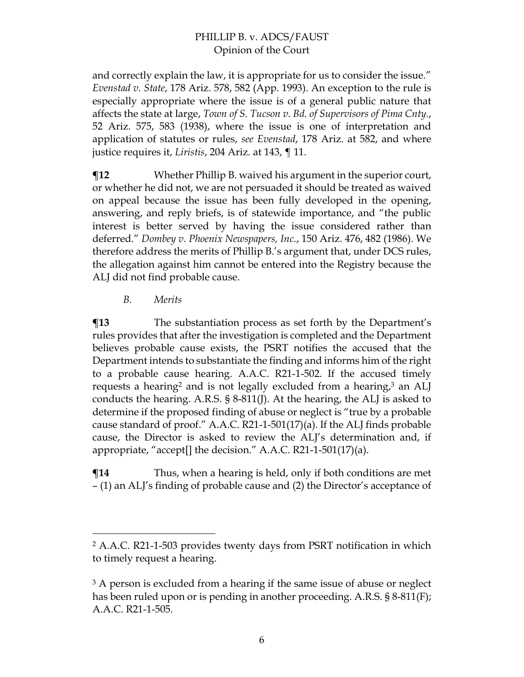and correctly explain the law, it is appropriate for us to consider the issue." *Evenstad v. State*, 178 Ariz. 578, 582 (App. 1993). An exception to the rule is especially appropriate where the issue is of a general public nature that affects the state at large, *Town of S. Tucson v. Bd. of Supervisors of Pima Cnty.*, 52 Ariz. 575, 583 (1938), where the issue is one of interpretation and application of statutes or rules, *see Evenstad*, 178 Ariz. at 582, and where justice requires it, *Liristis*, 204 Ariz. at 143, ¶ 11.

**¶12** Whether Phillip B. waived his argument in the superior court, or whether he did not, we are not persuaded it should be treated as waived on appeal because the issue has been fully developed in the opening, answering, and reply briefs, is of statewide importance, and "the public interest is better served by having the issue considered rather than deferred." *Dombey v. Phoenix Newspapers, Inc.*, 150 Ariz. 476, 482 (1986). We therefore address the merits of Phillip B.'s argument that, under DCS rules, the allegation against him cannot be entered into the Registry because the ALJ did not find probable cause.

#### *B. Merits*

**¶13** The substantiation process as set forth by the Department's rules provides that after the investigation is completed and the Department believes probable cause exists, the PSRT notifies the accused that the Department intends to substantiate the finding and informs him of the right to a probable cause hearing. A.A.C. R21-1-502. If the accused timely requests a hearing<sup>2</sup> and is not legally excluded from a hearing, $3$  an ALJ conducts the hearing. A.R.S. § 8-811(J). At the hearing, the ALJ is asked to determine if the proposed finding of abuse or neglect is "true by a probable cause standard of proof." A.A.C. R21-1-501(17)(a). If the ALJ finds probable cause, the Director is asked to review the ALJ's determination and, if appropriate, "accept[] the decision." A.A.C. R21-1-501(17)(a).

**¶14** Thus, when a hearing is held, only if both conditions are met – (1) an ALJ's finding of probable cause and (2) the Director's acceptance of

<sup>2</sup> A.A.C. R21-1-503 provides twenty days from PSRT notification in which to timely request a hearing.

<sup>&</sup>lt;sup>3</sup> A person is excluded from a hearing if the same issue of abuse or neglect has been ruled upon or is pending in another proceeding. A.R.S. § 8-811(F); A.A.C. R21-1-505.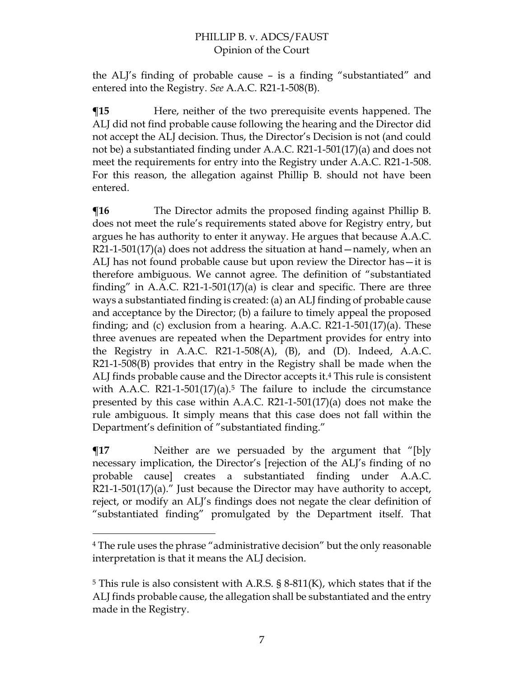the ALJ's finding of probable cause – is a finding "substantiated" and entered into the Registry. *See* A.A.C. R21-1-508(B).

**¶15** Here, neither of the two prerequisite events happened. The ALJ did not find probable cause following the hearing and the Director did not accept the ALJ decision. Thus, the Director's Decision is not (and could not be) a substantiated finding under A.A.C. R21-1-501(17)(a) and does not meet the requirements for entry into the Registry under A.A.C. R21-1-508. For this reason, the allegation against Phillip B. should not have been entered.

 $\P$ **16** The Director admits the proposed finding against Phillip B. does not meet the rule's requirements stated above for Registry entry, but argues he has authority to enter it anyway. He argues that because A.A.C. R21-1-501(17)(a) does not address the situation at hand—namely, when an ALJ has not found probable cause but upon review the Director has—it is therefore ambiguous. We cannot agree. The definition of "substantiated finding" in A.A.C. R21-1-501(17)(a) is clear and specific. There are three ways a substantiated finding is created: (a) an ALJ finding of probable cause and acceptance by the Director; (b) a failure to timely appeal the proposed finding; and (c) exclusion from a hearing. A.A.C. R21-1-501(17)(a). These three avenues are repeated when the Department provides for entry into the Registry in A.A.C. R21-1-508 $(A)$ ,  $(B)$ , and  $(D)$ . Indeed, A.A.C. R21-1-508(B) provides that entry in the Registry shall be made when the ALJ finds probable cause and the Director accepts it.<sup>4</sup> This rule is consistent with A.A.C. R21-1-501(17)(a).<sup>5</sup> The failure to include the circumstance presented by this case within A.A.C. R21-1-501(17)(a) does not make the rule ambiguous. It simply means that this case does not fall within the Department's definition of "substantiated finding."

 $\P$ **17** Neither are we persuaded by the argument that "[b]y necessary implication, the Director's [rejection of the ALJ's finding of no probable cause] creates a substantiated finding under A.A.C. R21-1-501(17)(a)." Just because the Director may have authority to accept, reject, or modify an ALJ's findings does not negate the clear definition of "substantiated finding" promulgated by the Department itself. That

<sup>4</sup> The rule uses the phrase "administrative decision" but the only reasonable interpretation is that it means the ALJ decision.

<sup>&</sup>lt;sup>5</sup> This rule is also consistent with A.R.S. § 8-811(K), which states that if the ALJ finds probable cause, the allegation shall be substantiated and the entry made in the Registry.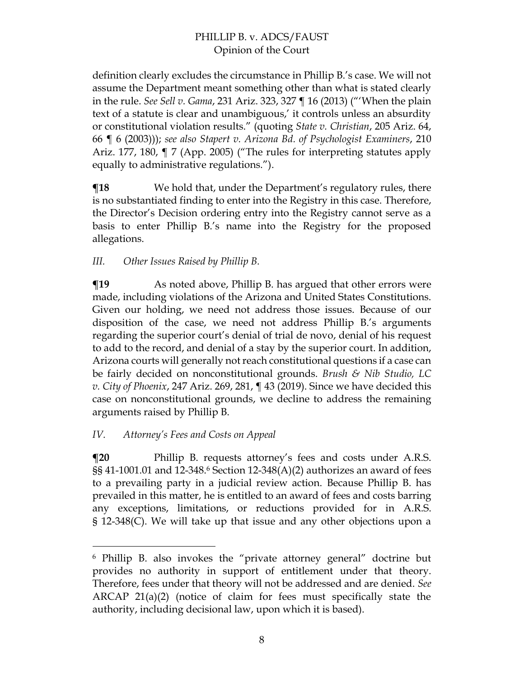definition clearly excludes the circumstance in Phillip B.'s case. We will not assume the Department meant something other than what is stated clearly in the rule. *See Sell v. Gama*, 231 Ariz. 323, 327 ¶ 16 (2013) ("'When the plain text of a statute is clear and unambiguous,' it controls unless an absurdity or constitutional violation results." (quoting *State v. Christian*, 205 Ariz. 64, 66 ¶ 6 (2003))); *see also Stapert v. Arizona Bd. of Psychologist Examiners*, 210 Ariz. 177, 180, ¶ 7 (App. 2005) ("The rules for interpreting statutes apply equally to administrative regulations.").

**The Stephend We hold that, under the Department's regulatory rules, there** is no substantiated finding to enter into the Registry in this case. Therefore, the Director's Decision ordering entry into the Registry cannot serve as a basis to enter Phillip B.'s name into the Registry for the proposed allegations.

*III. Other Issues Raised by Phillip B.* 

**The Term** As noted above, Phillip B. has argued that other errors were made, including violations of the Arizona and United States Constitutions. Given our holding, we need not address those issues. Because of our disposition of the case, we need not address Phillip B.'s arguments regarding the superior court's denial of trial de novo, denial of his request to add to the record, and denial of a stay by the superior court. In addition, Arizona courts will generally not reach constitutional questions if a case can be fairly decided on nonconstitutional grounds. *Brush & Nib Studio, LC v. City of Phoenix*, 247 Ariz. 269, 281, ¶ 43 (2019). Since we have decided this case on nonconstitutional grounds, we decline to address the remaining arguments raised by Phillip B.

# *IV. Attorney's Fees and Costs on Appeal*

**The Phillip B. requests attorney's fees and costs under A.R.S.** §§ 41-1001.01 and 12-348.<sup>6</sup> Section 12-348(A)(2) authorizes an award of fees to a prevailing party in a judicial review action. Because Phillip B. has prevailed in this matter, he is entitled to an award of fees and costs barring any exceptions, limitations, or reductions provided for in A.R.S. § 12-348(C). We will take up that issue and any other objections upon a

<sup>6</sup> Phillip B. also invokes the "private attorney general" doctrine but provides no authority in support of entitlement under that theory. Therefore, fees under that theory will not be addressed and are denied. *See* ARCAP 21(a)(2) (notice of claim for fees must specifically state the authority, including decisional law, upon which it is based).